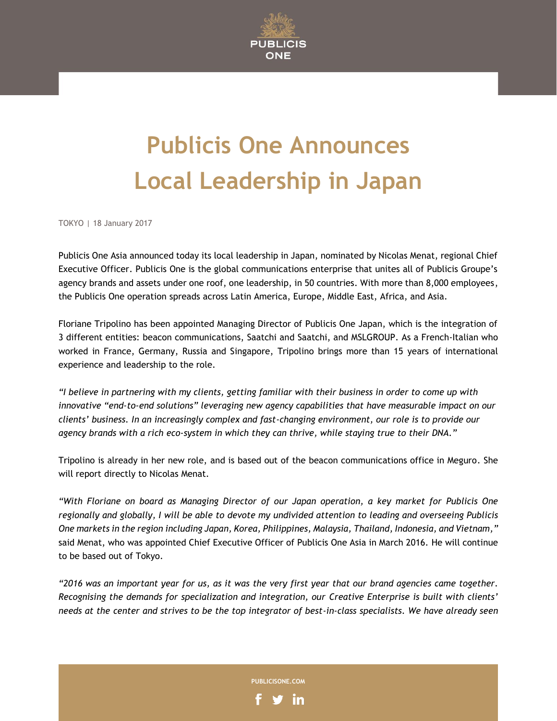

## **Publicis One Announces Local Leadership in Japan**

TOKYO | 18 January 2017

Publicis One Asia announced today its local leadership in Japan, nominated by Nicolas Menat, regional Chief Executive Officer. Publicis One is the global communications enterprise that unites all of Publicis Groupe's agency brands and assets under one roof, one leadership, in 50 countries. With more than 8,000 employees, the Publicis One operation spreads across Latin America, Europe, Middle East, Africa, and Asia.

Floriane Tripolino has been appointed Managing Director of Publicis One Japan, which is the integration of 3 different entities: beacon communications, Saatchi and Saatchi, and MSLGROUP. As a French-Italian who worked in France, Germany, Russia and Singapore, Tripolino brings more than 15 years of international experience and leadership to the role.

*"I believe in partnering with my clients, getting familiar with their business in order to come up with innovative "end-to-end solutions" leveraging new agency capabilities that have measurable impact on our clients' business. In an increasingly complex and fast-changing environment, our role is to provide our agency brands with a rich eco-system in which they can thrive, while staying true to their DNA."*

Tripolino is already in her new role, and is based out of the beacon communications office in Meguro. She will report directly to Nicolas Menat.

*"With Floriane on board as Managing Director of our Japan operation, a key market for Publicis One regionally and globally, I will be able to devote my undivided attention to leading and overseeing Publicis One markets in the region including Japan, Korea, Philippines, Malaysia, Thailand, Indonesia, and Vietnam,"* said Menat, who was appointed Chief Executive Officer of Publicis One Asia in March 2016. He will continue to be based out of Tokyo.

*"2016 was an important year for us, as it was the very first year that our brand agencies came together. Recognising the demands for specialization and integration, our Creative Enterprise is built with clients' needs at the center and strives to be the top integrator of best-in-class specialists. We have already seen* 

**PUBLICISONE.COM**

in